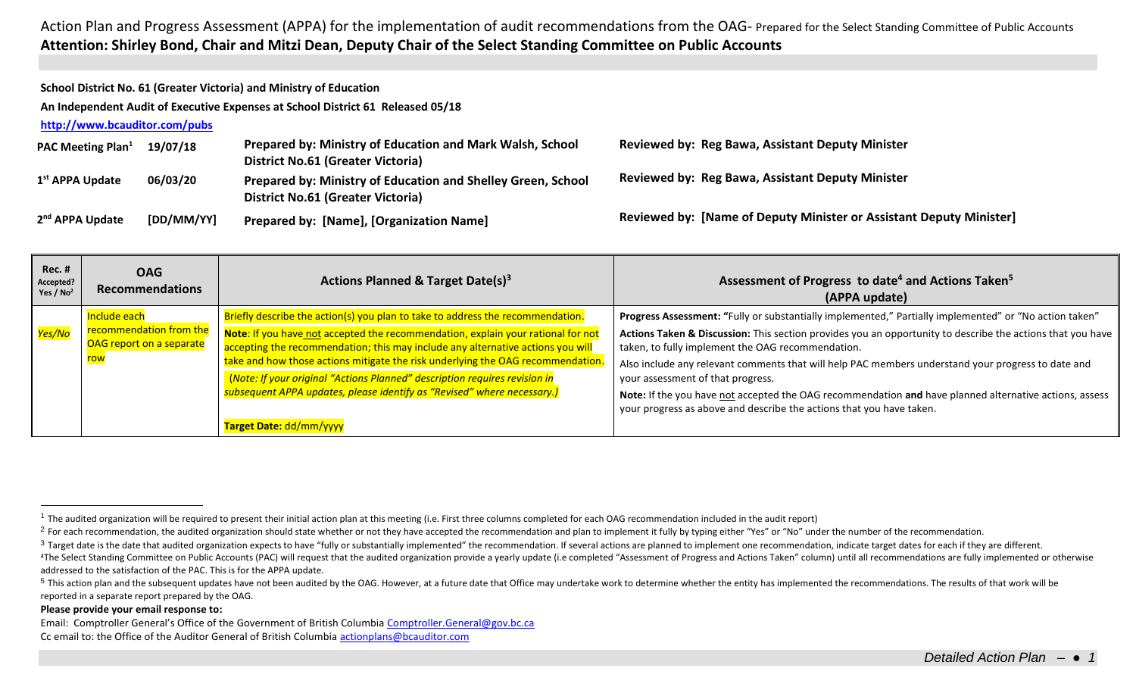**School District No. 61 (Greater Victoria) and Ministry of Education**

**An Independent Audit of Executive Expenses at School District 61 Released 05/18**

**<http://www.bcauditor.com/pubs>**

| <b>PAC Meeting Plan</b> <sup>1</sup> | 19/07/18   | Prepared by: Ministry of Education and Mark Walsh, School<br><b>District No.61 (Greater Victoria)</b>    | <b>Reviewed by: Reg Bawa, Assistant Deputy Minister</b>             |
|--------------------------------------|------------|----------------------------------------------------------------------------------------------------------|---------------------------------------------------------------------|
| 1 <sup>st</sup> APPA Update          | 06/03/20   | Prepared by: Ministry of Education and Shelley Green, School<br><b>District No.61 (Greater Victoria)</b> | <b>Reviewed by: Reg Bawa, Assistant Deputy Minister</b>             |
| 2 <sup>nd</sup> APPA Update          | [DD/MM/YY] | <b>Prepared by: [Name], [Organization Name]</b>                                                          | Reviewed by: [Name of Deputy Minister or Assistant Deputy Minister] |

| $Rec.$ #<br>Accepted?<br>Yes / $No2$ | <b>OAG</b><br><b>Recommendations</b>         | Actions Planned & Target Date(s) <sup>3</sup>                                                                                                                                                                                            | Assessment of Progress to date <sup>4</sup> and Actions Taken <sup>5</sup><br>(APPA update)                                                                                                                                                       |
|--------------------------------------|----------------------------------------------|------------------------------------------------------------------------------------------------------------------------------------------------------------------------------------------------------------------------------------------|---------------------------------------------------------------------------------------------------------------------------------------------------------------------------------------------------------------------------------------------------|
|                                      | Include each                                 | Briefly describe the action(s) you plan to take to address the recommendation.                                                                                                                                                           | Progress Assessment: "Fully or substantially implemented," Partially implemented" or "No action taken"                                                                                                                                            |
| <mark>Yes/No</mark>                  | recommendation from the                      | Note: If you have not accepted the recommendation, explain your rational for not                                                                                                                                                         | Actions Taken & Discussion: This section provides you an opportunity to describe the actions that you have                                                                                                                                        |
|                                      | OAG report on a separate<br><mark>row</mark> | accepting the recommendation; this may include any alternative actions you will                                                                                                                                                          | taken, to fully implement the OAG recommendation.                                                                                                                                                                                                 |
|                                      |                                              | take and how those actions mitigate the risk underlying the OAG recommendation.<br>(Note: If your original "Actions Planned" description requires revision in<br>subsequent APPA updates, please identify as "Revised" where necessary.) | Also include any relevant comments that will help PAC members understand your progress to date and<br>your assessment of that progress.<br>Note: If the you have not accepted the OAG recommendation and have planned alternative actions, assess |
|                                      |                                              | Target Date: dd/mm/yyyy                                                                                                                                                                                                                  | your progress as above and describe the actions that you have taken.                                                                                                                                                                              |

## **Please provide your email response to:**

 $\overline{a}$ 

Email: Comptroller General's Office of the Government of British Columbia [Comptroller.General@gov.bc.ca](mailto:Comptroller.General@gov.bc.ca) Cc email to: the Office of the Auditor General of British Columbi[a actionplans@bcauditor.com](mailto:actionplans@bcauditor.com)

 $1$  The audited organization will be required to present their initial action plan at this meeting (i.e. First three columns completed for each OAG recommendation included in the audit report)

<sup>&</sup>lt;sup>2</sup> For each recommendation, the audited organization should state whether or not they have accepted the recommendation and plan to implement it fully by typing either "Yes" or "No" under the number of the recommendation.

<sup>&</sup>lt;sup>3</sup> Target date is the date that audited organization expects to have "fully or substantially implemented" the recommendation. If several actions are planned to implement one recommendation, indicate target dates for each

<sup>&</sup>lt;sup>4</sup>The Select Standing Committee on Public Accounts (PAC) will request that the audited organization provide a yearly update (i.e completed "Assessment of Progress and Actions Taken" column) until all recommendations are f addressed to the satisfaction of the PAC. This is for the APPA update.

<sup>&</sup>lt;sup>5</sup> This action plan and the subsequent updates have not been audited by the OAG. However, at a future date that Office may undertake work to determine whether the entity has implemented the recommendations. The results of reported in a separate report prepared by the OAG.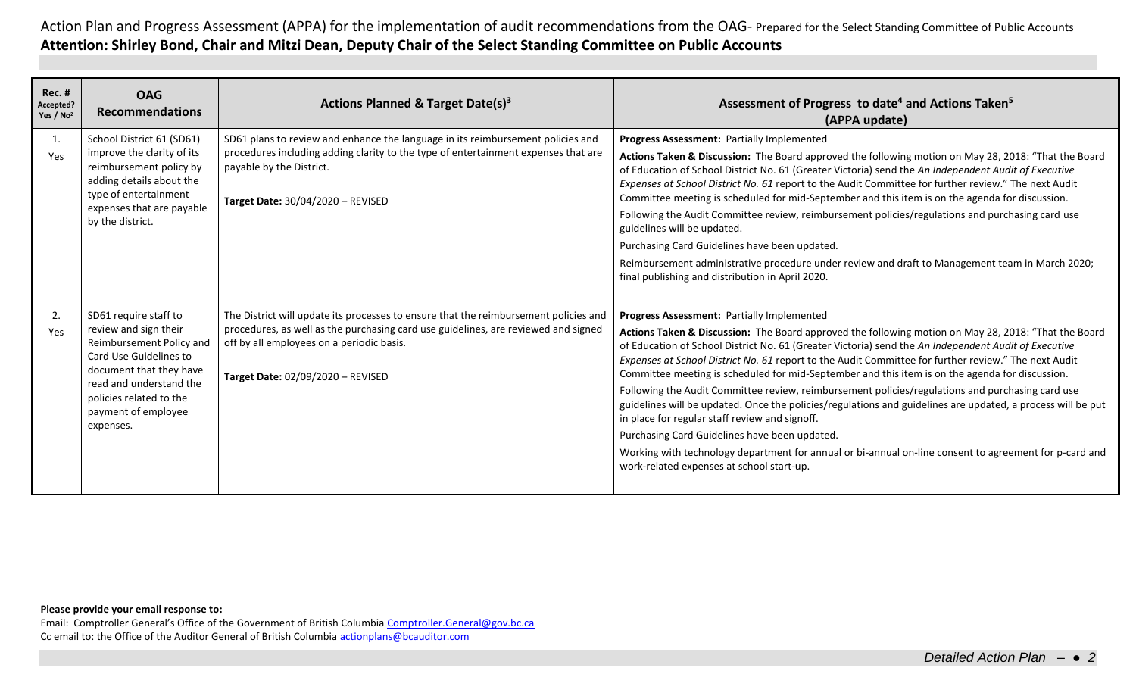| $Rec.$ #<br>Accepted?<br>Yes / No <sup>2</sup> | <b>OAG</b><br><b>Recommendations</b>                                                                                                                                                                                      | <b>Actions Planned &amp; Target Date(s)3</b>                                                                                                                                                                                                                 | Assessment of Progress to date <sup>4</sup> and Actions Taken <sup>5</sup><br>(APPA update)                                                                                                                                                                                                                                                                                                                                                                                                                                                                                                                                                                                                                                                                                                                                                                                                                                                               |
|------------------------------------------------|---------------------------------------------------------------------------------------------------------------------------------------------------------------------------------------------------------------------------|--------------------------------------------------------------------------------------------------------------------------------------------------------------------------------------------------------------------------------------------------------------|-----------------------------------------------------------------------------------------------------------------------------------------------------------------------------------------------------------------------------------------------------------------------------------------------------------------------------------------------------------------------------------------------------------------------------------------------------------------------------------------------------------------------------------------------------------------------------------------------------------------------------------------------------------------------------------------------------------------------------------------------------------------------------------------------------------------------------------------------------------------------------------------------------------------------------------------------------------|
| 1.<br>Yes                                      | School District 61 (SD61)<br>improve the clarity of its<br>reimbursement policy by<br>adding details about the<br>type of entertainment<br>expenses that are payable<br>by the district.                                  | SD61 plans to review and enhance the language in its reimbursement policies and<br>procedures including adding clarity to the type of entertainment expenses that are<br>payable by the District.<br>Target Date: 30/04/2020 - REVISED                       | <b>Progress Assessment: Partially Implemented</b><br>Actions Taken & Discussion: The Board approved the following motion on May 28, 2018: "That the Board<br>of Education of School District No. 61 (Greater Victoria) send the An Independent Audit of Executive<br>Expenses at School District No. 61 report to the Audit Committee for further review." The next Audit<br>Committee meeting is scheduled for mid-September and this item is on the agenda for discussion.<br>Following the Audit Committee review, reimbursement policies/regulations and purchasing card use<br>guidelines will be updated.<br>Purchasing Card Guidelines have been updated.<br>Reimbursement administrative procedure under review and draft to Management team in March 2020;<br>final publishing and distribution in April 2020.                                                                                                                                   |
| 2.<br>Yes                                      | SD61 require staff to<br>review and sign their<br>Reimbursement Policy and<br>Card Use Guidelines to<br>document that they have<br>read and understand the<br>policies related to the<br>payment of employee<br>expenses. | The District will update its processes to ensure that the reimbursement policies and<br>procedures, as well as the purchasing card use guidelines, are reviewed and signed<br>off by all employees on a periodic basis.<br>Target Date: 02/09/2020 - REVISED | <b>Progress Assessment: Partially Implemented</b><br>Actions Taken & Discussion: The Board approved the following motion on May 28, 2018: "That the Board<br>of Education of School District No. 61 (Greater Victoria) send the An Independent Audit of Executive<br>Expenses at School District No. 61 report to the Audit Committee for further review." The next Audit<br>Committee meeting is scheduled for mid-September and this item is on the agenda for discussion.<br>Following the Audit Committee review, reimbursement policies/regulations and purchasing card use<br>guidelines will be updated. Once the policies/regulations and guidelines are updated, a process will be put<br>in place for regular staff review and signoff.<br>Purchasing Card Guidelines have been updated.<br>Working with technology department for annual or bi-annual on-line consent to agreement for p-card and<br>work-related expenses at school start-up. |

## **Please provide your email response to:**

Email: Comptroller General's Office of the Government of British Columbia [Comptroller.General@gov.bc.ca](mailto:Comptroller.General@gov.bc.ca) Cc email to: the Office of the Auditor General of British Columbi[a actionplans@bcauditor.com](mailto:actionplans@bcauditor.com)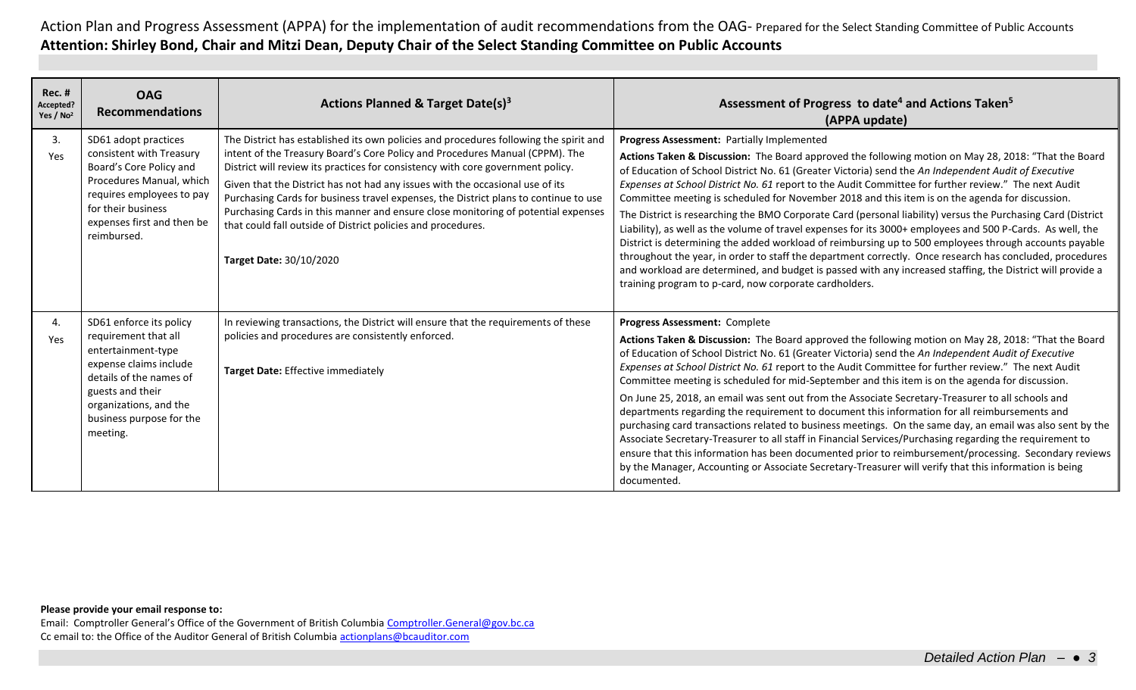| <b>Rec. #</b><br>Accepted?<br>Yes / No <sup>2</sup> | <b>OAG</b><br><b>Recommendations</b>                                                                                                                                                                             | Actions Planned & Target Date(s) <sup>3</sup>                                                                                                                                                                                                                                                                                                                                                                                                                                                                                                                                                                     | Assessment of Progress to date <sup>4</sup> and Actions Taken <sup>5</sup><br>(APPA update)                                                                                                                                                                                                                                                                                                                                                                                                                                                                                                                                                                                                                                                                                                                                                                                                                                                                                                                                                                                                                               |
|-----------------------------------------------------|------------------------------------------------------------------------------------------------------------------------------------------------------------------------------------------------------------------|-------------------------------------------------------------------------------------------------------------------------------------------------------------------------------------------------------------------------------------------------------------------------------------------------------------------------------------------------------------------------------------------------------------------------------------------------------------------------------------------------------------------------------------------------------------------------------------------------------------------|---------------------------------------------------------------------------------------------------------------------------------------------------------------------------------------------------------------------------------------------------------------------------------------------------------------------------------------------------------------------------------------------------------------------------------------------------------------------------------------------------------------------------------------------------------------------------------------------------------------------------------------------------------------------------------------------------------------------------------------------------------------------------------------------------------------------------------------------------------------------------------------------------------------------------------------------------------------------------------------------------------------------------------------------------------------------------------------------------------------------------|
| 3.<br>Yes                                           | SD61 adopt practices<br>consistent with Treasury<br>Board's Core Policy and<br>Procedures Manual, which<br>requires employees to pay<br>for their business<br>expenses first and then be<br>reimbursed.          | The District has established its own policies and procedures following the spirit and<br>intent of the Treasury Board's Core Policy and Procedures Manual (CPPM). The<br>District will review its practices for consistency with core government policy.<br>Given that the District has not had any issues with the occasional use of its<br>Purchasing Cards for business travel expenses, the District plans to continue to use<br>Purchasing Cards in this manner and ensure close monitoring of potential expenses<br>that could fall outside of District policies and procedures.<br>Target Date: 30/10/2020 | Progress Assessment: Partially Implemented<br>Actions Taken & Discussion: The Board approved the following motion on May 28, 2018: "That the Board<br>of Education of School District No. 61 (Greater Victoria) send the An Independent Audit of Executive<br>Expenses at School District No. 61 report to the Audit Committee for further review." The next Audit<br>Committee meeting is scheduled for November 2018 and this item is on the agenda for discussion.<br>The District is researching the BMO Corporate Card (personal liability) versus the Purchasing Card (District<br>Liability), as well as the volume of travel expenses for its 3000+ employees and 500 P-Cards. As well, the<br>District is determining the added workload of reimbursing up to 500 employees through accounts payable<br>throughout the year, in order to staff the department correctly. Once research has concluded, procedures<br>and workload are determined, and budget is passed with any increased staffing, the District will provide a<br>training program to p-card, now corporate cardholders.                         |
| 4.<br>Yes                                           | SD61 enforce its policy<br>requirement that all<br>entertainment-type<br>expense claims include<br>details of the names of<br>guests and their<br>organizations, and the<br>business purpose for the<br>meeting. | In reviewing transactions, the District will ensure that the requirements of these<br>policies and procedures are consistently enforced.<br>Target Date: Effective immediately                                                                                                                                                                                                                                                                                                                                                                                                                                    | Progress Assessment: Complete<br>Actions Taken & Discussion: The Board approved the following motion on May 28, 2018: "That the Board<br>of Education of School District No. 61 (Greater Victoria) send the An Independent Audit of Executive<br>Expenses at School District No. 61 report to the Audit Committee for further review." The next Audit<br>Committee meeting is scheduled for mid-September and this item is on the agenda for discussion.<br>On June 25, 2018, an email was sent out from the Associate Secretary-Treasurer to all schools and<br>departments regarding the requirement to document this information for all reimbursements and<br>purchasing card transactions related to business meetings. On the same day, an email was also sent by the<br>Associate Secretary-Treasurer to all staff in Financial Services/Purchasing regarding the requirement to<br>ensure that this information has been documented prior to reimbursement/processing. Secondary reviews<br>by the Manager, Accounting or Associate Secretary-Treasurer will verify that this information is being<br>documented. |

## **Please provide your email response to:**

Email: Comptroller General's Office of the Government of British Columbia [Comptroller.General@gov.bc.ca](mailto:Comptroller.General@gov.bc.ca) Cc email to: the Office of the Auditor General of British Columbi[a actionplans@bcauditor.com](mailto:actionplans@bcauditor.com)